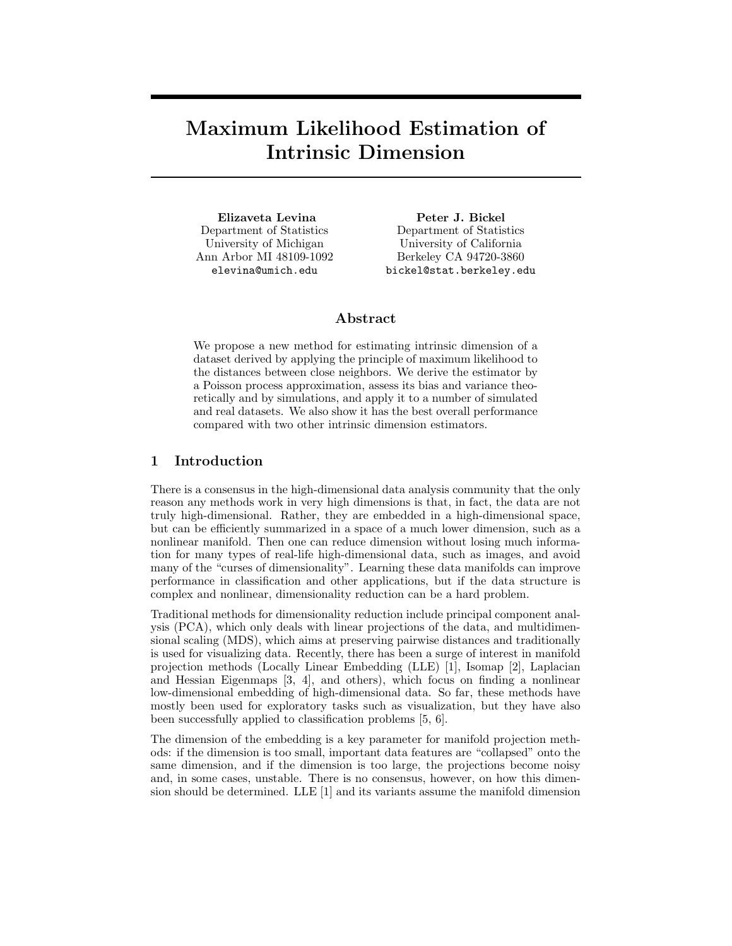## Maximum Likelihood Estimation of Intrinsic Dimension

Elizaveta Levina Department of Statistics University of Michigan Ann Arbor MI 48109-1092 elevina@umich.edu

Peter J. Bickel Department of Statistics University of California Berkeley CA 94720-3860 bickel@stat.berkeley.edu

#### Abstract

We propose a new method for estimating intrinsic dimension of a dataset derived by applying the principle of maximum likelihood to the distances between close neighbors. We derive the estimator by a Poisson process approximation, assess its bias and variance theoretically and by simulations, and apply it to a number of simulated and real datasets. We also show it has the best overall performance compared with two other intrinsic dimension estimators.

### 1 Introduction

There is a consensus in the high-dimensional data analysis community that the only reason any methods work in very high dimensions is that, in fact, the data are not truly high-dimensional. Rather, they are embedded in a high-dimensional space, but can be efficiently summarized in a space of a much lower dimension, such as a nonlinear manifold. Then one can reduce dimension without losing much information for many types of real-life high-dimensional data, such as images, and avoid many of the "curses of dimensionality". Learning these data manifolds can improve performance in classification and other applications, but if the data structure is complex and nonlinear, dimensionality reduction can be a hard problem.

Traditional methods for dimensionality reduction include principal component analysis (PCA), which only deals with linear projections of the data, and multidimensional scaling (MDS), which aims at preserving pairwise distances and traditionally is used for visualizing data. Recently, there has been a surge of interest in manifold projection methods (Locally Linear Embedding (LLE) [1], Isomap [2], Laplacian and Hessian Eigenmaps [3, 4], and others), which focus on finding a nonlinear low-dimensional embedding of high-dimensional data. So far, these methods have mostly been used for exploratory tasks such as visualization, but they have also been successfully applied to classification problems [5, 6].

The dimension of the embedding is a key parameter for manifold projection methods: if the dimension is too small, important data features are "collapsed" onto the same dimension, and if the dimension is too large, the projections become noisy and, in some cases, unstable. There is no consensus, however, on how this dimension should be determined. LLE  $[1]$  and its variants assume the manifold dimension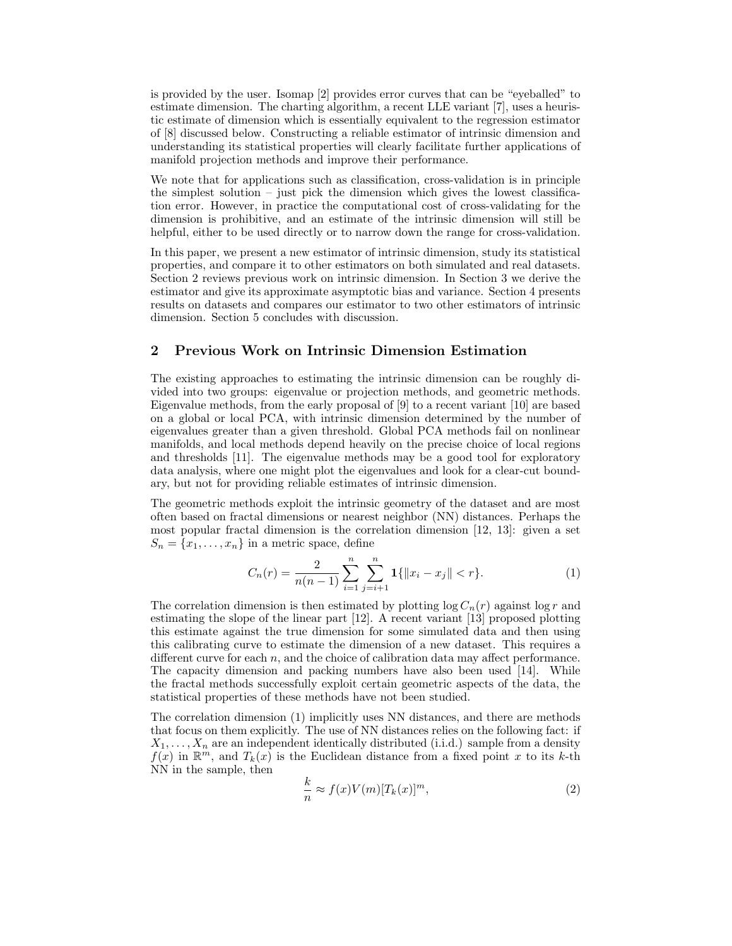is provided by the user. Isomap [2] provides error curves that can be "eyeballed" to estimate dimension. The charting algorithm, a recent LLE variant [7], uses a heuristic estimate of dimension which is essentially equivalent to the regression estimator of [8] discussed below. Constructing a reliable estimator of intrinsic dimension and understanding its statistical properties will clearly facilitate further applications of manifold projection methods and improve their performance.

We note that for applications such as classification, cross-validation is in principle the simplest solution – just pick the dimension which gives the lowest classification error. However, in practice the computational cost of cross-validating for the dimension is prohibitive, and an estimate of the intrinsic dimension will still be helpful, either to be used directly or to narrow down the range for cross-validation.

In this paper, we present a new estimator of intrinsic dimension, study its statistical properties, and compare it to other estimators on both simulated and real datasets. Section 2 reviews previous work on intrinsic dimension. In Section 3 we derive the estimator and give its approximate asymptotic bias and variance. Section 4 presents results on datasets and compares our estimator to two other estimators of intrinsic dimension. Section 5 concludes with discussion.

#### 2 Previous Work on Intrinsic Dimension Estimation

The existing approaches to estimating the intrinsic dimension can be roughly divided into two groups: eigenvalue or projection methods, and geometric methods. Eigenvalue methods, from the early proposal of [9] to a recent variant [10] are based on a global or local PCA, with intrinsic dimension determined by the number of eigenvalues greater than a given threshold. Global PCA methods fail on nonlinear manifolds, and local methods depend heavily on the precise choice of local regions and thresholds [11]. The eigenvalue methods may be a good tool for exploratory data analysis, where one might plot the eigenvalues and look for a clear-cut boundary, but not for providing reliable estimates of intrinsic dimension.

The geometric methods exploit the intrinsic geometry of the dataset and are most often based on fractal dimensions or nearest neighbor (NN) distances. Perhaps the most popular fractal dimension is the correlation dimension [12, 13]: given a set  $S_n = \{x_1, \ldots, x_n\}$  in a metric space, define

$$
C_n(r) = \frac{2}{n(n-1)} \sum_{i=1}^n \sum_{j=i+1}^n \mathbf{1}\{|x_i - x_j| < r\}.\tag{1}
$$

The correlation dimension is then estimated by plotting  $\log C_n(r)$  against  $\log r$  and estimating the slope of the linear part [12]. A recent variant [13] proposed plotting this estimate against the true dimension for some simulated data and then using this calibrating curve to estimate the dimension of a new dataset. This requires a different curve for each  $n$ , and the choice of calibration data may affect performance. The capacity dimension and packing numbers have also been used [14]. While the fractal methods successfully exploit certain geometric aspects of the data, the statistical properties of these methods have not been studied.

The correlation dimension (1) implicitly uses NN distances, and there are methods that focus on them explicitly. The use of NN distances relies on the following fact: if  $X_1, \ldots, X_n$  are an independent identically distributed (i.i.d.) sample from a density  $f(x)$  in  $\mathbb{R}^m$ , and  $T_k(x)$  is the Euclidean distance from a fixed point x to its k-th NN in the sample, then

$$
\frac{k}{n} \approx f(x)V(m)[T_k(x)]^m,
$$
\n(2)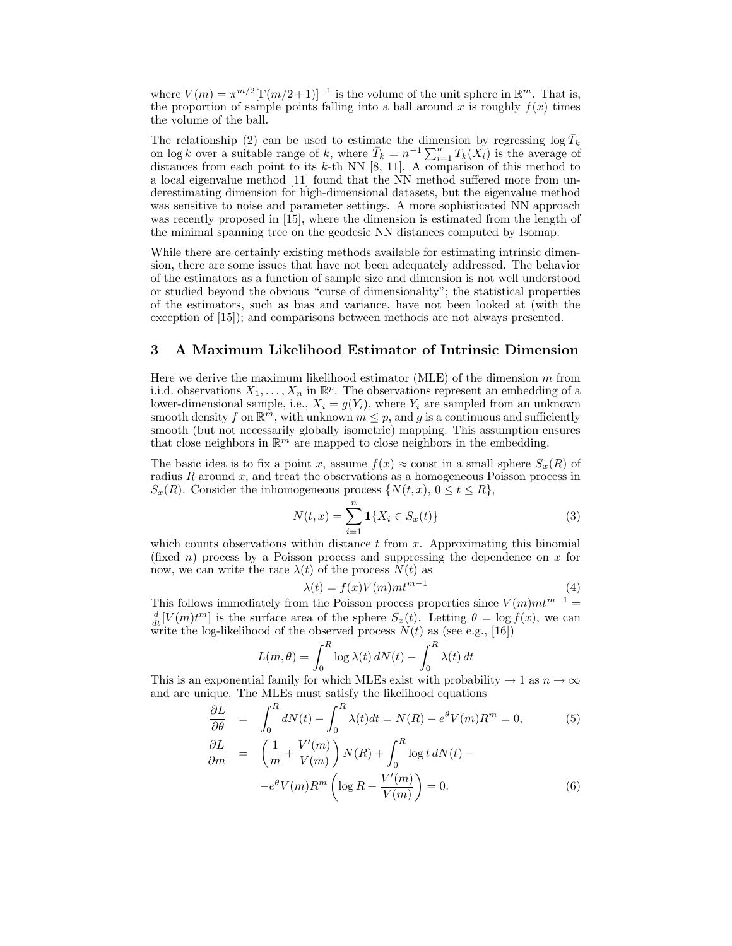where  $V(m) = \pi^{m/2} [\Gamma(m/2+1)]^{-1}$  is the volume of the unit sphere in  $\mathbb{R}^m$ . That is, the proportion of sample points falling into a ball around x is roughly  $f(x)$  times the volume of the ball.

The relationship (2) can be used to estimate the dimension by regressing  $\log \bar{T}_k$ on log k over a suitable range of k, where  $\overline{T}_k = n^{-1} \sum_{i=1}^n T_k(X_i)$  is the average of distances from each point to its  $k$ -th NN [8, 11]. A comparison of this method to a local eigenvalue method [11] found that the NN method suffered more from underestimating dimension for high-dimensional datasets, but the eigenvalue method was sensitive to noise and parameter settings. A more sophisticated NN approach was recently proposed in [15], where the dimension is estimated from the length of the minimal spanning tree on the geodesic NN distances computed by Isomap.

While there are certainly existing methods available for estimating intrinsic dimension, there are some issues that have not been adequately addressed. The behavior of the estimators as a function of sample size and dimension is not well understood or studied beyond the obvious "curse of dimensionality"; the statistical properties of the estimators, such as bias and variance, have not been looked at (with the exception of [15]); and comparisons between methods are not always presented.

#### 3 A Maximum Likelihood Estimator of Intrinsic Dimension

Here we derive the maximum likelihood estimator (MLE) of the dimension m from i.i.d. observations  $X_1, \ldots, X_n$  in  $\mathbb{R}^p$ . The observations represent an embedding of a lower-dimensional sample, i.e.,  $X_i = g(Y_i)$ , where  $Y_i$  are sampled from an unknown smooth density f on  $\mathbb{R}^m$ , with unknown  $m \leq p$ , and g is a continuous and sufficiently smooth (but not necessarily globally isometric) mapping. This assumption ensures that close neighbors in  $\mathbb{R}^m$  are mapped to close neighbors in the embedding.

The basic idea is to fix a point x, assume  $f(x) \approx$  const in a small sphere  $S_x(R)$  of radius R around  $x$ , and treat the observations as a homogeneous Poisson process in  $S_x(R)$ . Consider the inhomogeneous process  $\{N(t, x), 0 \le t \le R\},$ 

$$
N(t,x) = \sum_{i=1}^{n} \mathbf{1}\{X_i \in S_x(t)\}\tag{3}
$$

which counts observations within distance  $t$  from  $x$ . Approximating this binomial (fixed n) process by a Poisson process and suppressing the dependence on  $x$  for now, we can write the rate  $\lambda(t)$  of the process  $N(t)$  as

$$
\lambda(t) = f(x)V(m)mt^{m-1}
$$
\n(4)

This follows immediately from the Poisson process properties since  $V(m)mt^{m-1} =$  $\frac{d}{dt}[V(m)t^m]$  is the surface area of the sphere  $S_x(t)$ . Letting  $\theta = \log f(x)$ , we can write the log-likelihood of the observed process  $N(t)$  as (see e.g., [16])

$$
L(m, \theta) = \int_0^R \log \lambda(t) dN(t) - \int_0^R \lambda(t) dt
$$

This is an exponential family for which MLEs exist with probability  $\rightarrow 1$  as  $n \rightarrow \infty$ and are unique. The MLEs must satisfy the likelihood equations

$$
\frac{\partial L}{\partial \theta} = \int_0^R dN(t) - \int_0^R \lambda(t)dt = N(R) - e^{\theta}V(m)R^m = 0,
$$
(5)  

$$
\frac{\partial L}{\partial m} = \left(\frac{1}{m} + \frac{V'(m)}{V(m)}\right)N(R) + \int_0^R \log t \, dN(t) -
$$

$$
-e^{\theta}V(m)R^m \left(\log R + \frac{V'(m)}{V(m)}\right) = 0.
$$
 (6)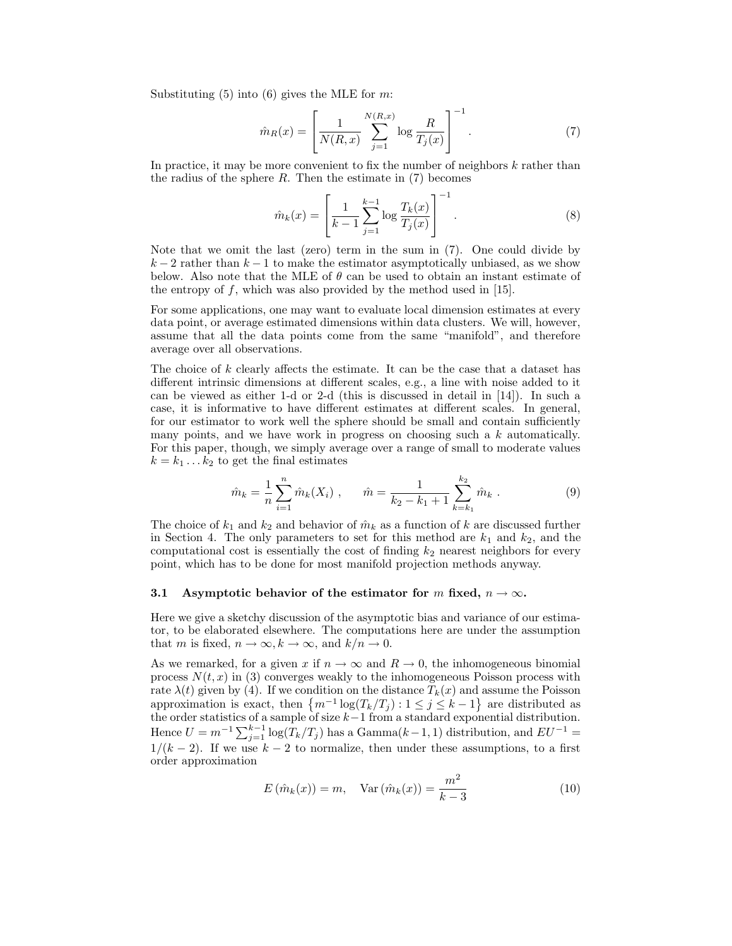Substituting  $(5)$  into  $(6)$  gives the MLE for m:

$$
\hat{m}_R(x) = \left[ \frac{1}{N(R, x)} \sum_{j=1}^{N(R, x)} \log \frac{R}{T_j(x)} \right]^{-1}.
$$
 (7)

In practice, it may be more convenient to fix the number of neighbors  $k$  rather than the radius of the sphere  $R$ . Then the estimate in  $(7)$  becomes

$$
\hat{m}_k(x) = \left[ \frac{1}{k-1} \sum_{j=1}^{k-1} \log \frac{T_k(x)}{T_j(x)} \right]^{-1}.
$$
\n(8)

Note that we omit the last (zero) term in the sum in (7). One could divide by  $k-2$  rather than  $k-1$  to make the estimator asymptotically unbiased, as we show below. Also note that the MLE of  $\theta$  can be used to obtain an instant estimate of the entropy of  $f$ , which was also provided by the method used in [15].

For some applications, one may want to evaluate local dimension estimates at every data point, or average estimated dimensions within data clusters. We will, however, assume that all the data points come from the same "manifold", and therefore average over all observations.

The choice of k clearly affects the estimate. It can be the case that a dataset has different intrinsic dimensions at different scales, e.g., a line with noise added to it can be viewed as either 1-d or 2-d (this is discussed in detail in [14]). In such a case, it is informative to have different estimates at different scales. In general, for our estimator to work well the sphere should be small and contain sufficiently many points, and we have work in progress on choosing such a  $k$  automatically. For this paper, though, we simply average over a range of small to moderate values  $k = k_1 \dots k_2$  to get the final estimates

$$
\hat{m}_k = \frac{1}{n} \sum_{i=1}^n \hat{m}_k(X_i) , \qquad \hat{m} = \frac{1}{k_2 - k_1 + 1} \sum_{k=k_1}^{k_2} \hat{m}_k .
$$
 (9)

The choice of  $k_1$  and  $k_2$  and behavior of  $\hat{m}_k$  as a function of k are discussed further in Section 4. The only parameters to set for this method are  $k_1$  and  $k_2$ , and the computational cost is essentially the cost of finding  $k_2$  nearest neighbors for every point, which has to be done for most manifold projection methods anyway.

#### 3.1 Asymptotic behavior of the estimator for m fixed,  $n \to \infty$ .

Here we give a sketchy discussion of the asymptotic bias and variance of our estimator, to be elaborated elsewhere. The computations here are under the assumption that m is fixed,  $n \to \infty$ ,  $k \to \infty$ , and  $k/n \to 0$ .

As we remarked, for a given x if  $n \to \infty$  and  $R \to 0$ , the inhomogeneous binomial process  $N(t, x)$  in (3) converges weakly to the inhomogeneous Poisson process with rate  $\lambda(t)$  given by (4). If we condition on the distance  $T_k(x)$  and assume the Poisson approximation is exact, then  $\{m^{-1}\log(T_k/T_j): 1 \leq j \leq k-1\}$  are distributed as the order statistics of a sample of size  $k-1$  from a standard exponential distribution. Hence  $U = m^{-1} \sum_{j=1}^{k-1} \log(T_k/T_j)$  has a Gamma $(k-1, 1)$  distribution, and  $EU^{-1}$  $1/(k-2)$ . If we use  $k-2$  to normalize, then under these assumptions, to a first order approximation

$$
E(\hat{m}_k(x)) = m, \quad \text{Var}(\hat{m}_k(x)) = \frac{m^2}{k-3}
$$
 (10)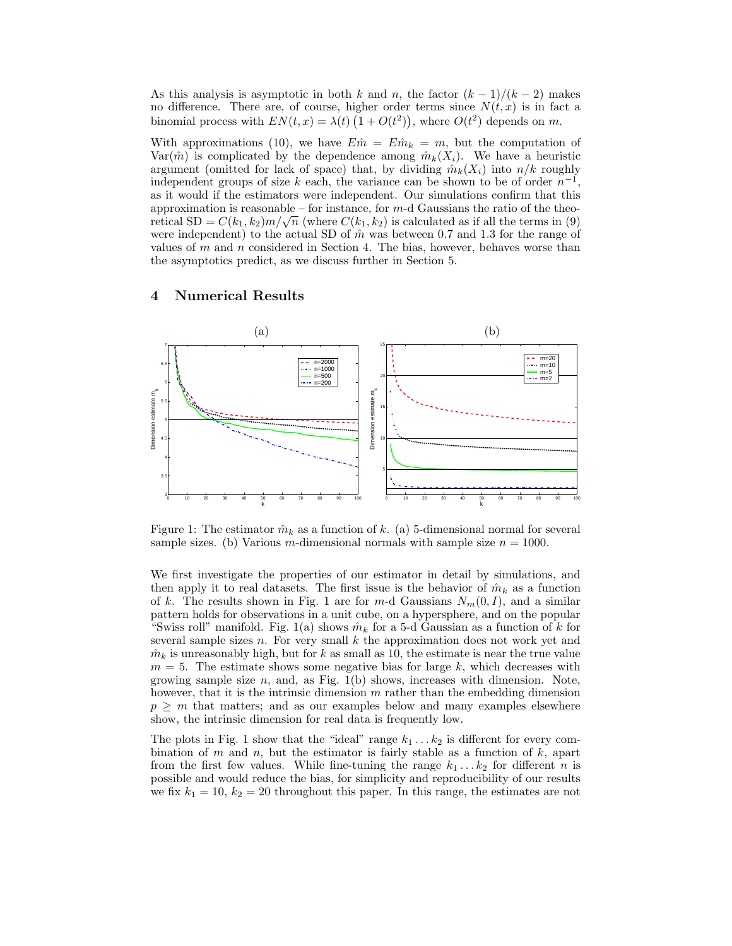As this analysis is asymptotic in both k and n, the factor  $(k-1)/(k-2)$  makes no difference. There are, of course, higher order terms since  $N(t, x)$  is in fact a binomial process with  $EN(t, x) = \lambda(t) (1 + O(t^2))$ , where  $O(t^2)$  depends on m.

With approximations (10), we have  $E\hat{m} = E\hat{m}_k = m$ , but the computation of Var( $\hat{m}$ ) is complicated by the dependence among  $\hat{m}_k(X_i)$ . We have a heuristic argument (omitted for lack of space) that, by dividing  $\hat{m}_k(X_i)$  into  $n/k$  roughly independent groups of size k each, the variance can be shown to be of order  $n^{-1}$ , as it would if the estimators were independent. Our simulations confirm that this approximation is reasonable – for instance, for  $m$ -d Gaussians the ratio of the theoretical  $SD = C(k_1, k_2)m/\sqrt{n}$  (where  $C(k_1, k_2)$  is calculated as if all the terms in (9) were independent) to the actual SD of  $\hat{m}$  was between 0.7 and 1.3 for the range of values of  $m$  and  $n$  considered in Section 4. The bias, however, behaves worse than the asymptotics predict, as we discuss further in Section 5.

# 4 Numerical Results



Figure 1: The estimator  $\hat{m}_k$  as a function of k. (a) 5-dimensional normal for several sample sizes. (b) Various m-dimensional normals with sample size  $n = 1000$ .

We first investigate the properties of our estimator in detail by simulations, and then apply it to real datasets. The first issue is the behavior of  $\hat{m}_k$  as a function of k. The results shown in Fig. 1 are for m-d Gaussians  $N_m(0, I)$ , and a similar pattern holds for observations in a unit cube, on a hypersphere, and on the popular "Swiss roll" manifold. Fig. 1(a) shows  $\hat{m}_k$  for a 5-d Gaussian as a function of k for several sample sizes  $n$ . For very small  $k$  the approximation does not work yet and  $\hat{m}_k$  is unreasonably high, but for k as small as 10, the estimate is near the true value  $m = 5$ . The estimate shows some negative bias for large k, which decreases with growing sample size  $n$ , and, as Fig. 1(b) shows, increases with dimension. Note, however, that it is the intrinsic dimension  $m$  rather than the embedding dimension  $p \geq m$  that matters; and as our examples below and many examples elsewhere show, the intrinsic dimension for real data is frequently low.

The plots in Fig. 1 show that the "ideal" range  $k_1 \ldots k_2$  is different for every combination of m and n, but the estimator is fairly stable as a function of  $k$ , apart from the first few values. While fine-tuning the range  $k_1 \dots k_2$  for different n is possible and would reduce the bias, for simplicity and reproducibility of our results we fix  $k_1 = 10$ ,  $k_2 = 20$  throughout this paper. In this range, the estimates are not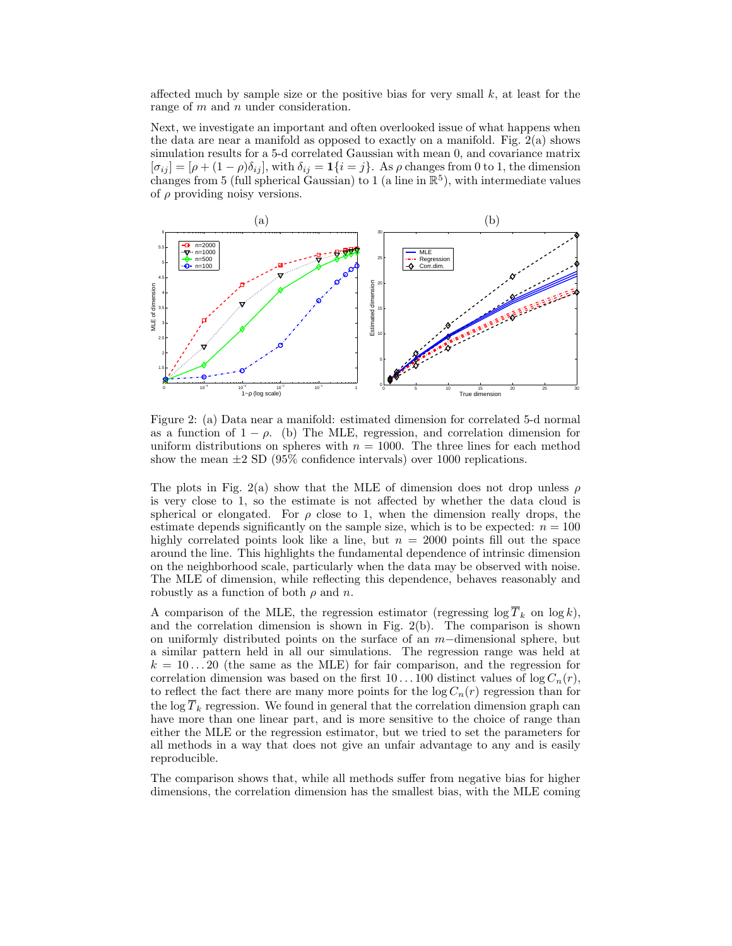affected much by sample size or the positive bias for very small  $k$ , at least for the range of  $m$  and  $n$  under consideration.

Next, we investigate an important and often overlooked issue of what happens when the data are near a manifold as opposed to exactly on a manifold. Fig.  $2(a)$  shows simulation results for a 5-d correlated Gaussian with mean 0, and covariance matrix  $[\sigma_{ij}] = [\rho + (1 - \rho)\delta_{ij}]$ , with  $\delta_{ij} = \mathbf{1}\{i = j\}$ . As  $\rho$  changes from 0 to 1, the dimension changes from 5 (full spherical Gaussian) to 1 (a line in  $\mathbb{R}^5$ ), with intermediate values of  $\rho$  providing noisy versions.



Figure 2: (a) Data near a manifold: estimated dimension for correlated 5-d normal as a function of  $1 - \rho$ . (b) The MLE, regression, and correlation dimension for uniform distributions on spheres with  $n = 1000$ . The three lines for each method show the mean  $\pm 2$  SD (95% confidence intervals) over 1000 replications.

The plots in Fig. 2(a) show that the MLE of dimension does not drop unless  $\rho$ is very close to 1, so the estimate is not affected by whether the data cloud is spherical or elongated. For  $\rho$  close to 1, when the dimension really drops, the estimate depends significantly on the sample size, which is to be expected:  $n = 100$ highly correlated points look like a line, but  $n = 2000$  points fill out the space around the line. This highlights the fundamental dependence of intrinsic dimension on the neighborhood scale, particularly when the data may be observed with noise. The MLE of dimension, while reflecting this dependence, behaves reasonably and robustly as a function of both  $\rho$  and n.

A comparison of the MLE, the regression estimator (regressing  $\log \overline{T}_k$  on  $\log k$ ), and the correlation dimension is shown in Fig.  $2(b)$ . The comparison is shown on uniformly distributed points on the surface of an  $m$ –dimensional sphere, but a similar pattern held in all our simulations. The regression range was held at  $k = 10...20$  (the same as the MLE) for fair comparison, and the regression for correlation dimension was based on the first 10...100 distinct values of  $\log C_n(r)$ , to reflect the fact there are many more points for the  $\log C_n(r)$  regression than for the log  $\overline{T}_k$  regression. We found in general that the correlation dimension graph can have more than one linear part, and is more sensitive to the choice of range than either the MLE or the regression estimator, but we tried to set the parameters for all methods in a way that does not give an unfair advantage to any and is easily reproducible.

The comparison shows that, while all methods suffer from negative bias for higher dimensions, the correlation dimension has the smallest bias, with the MLE coming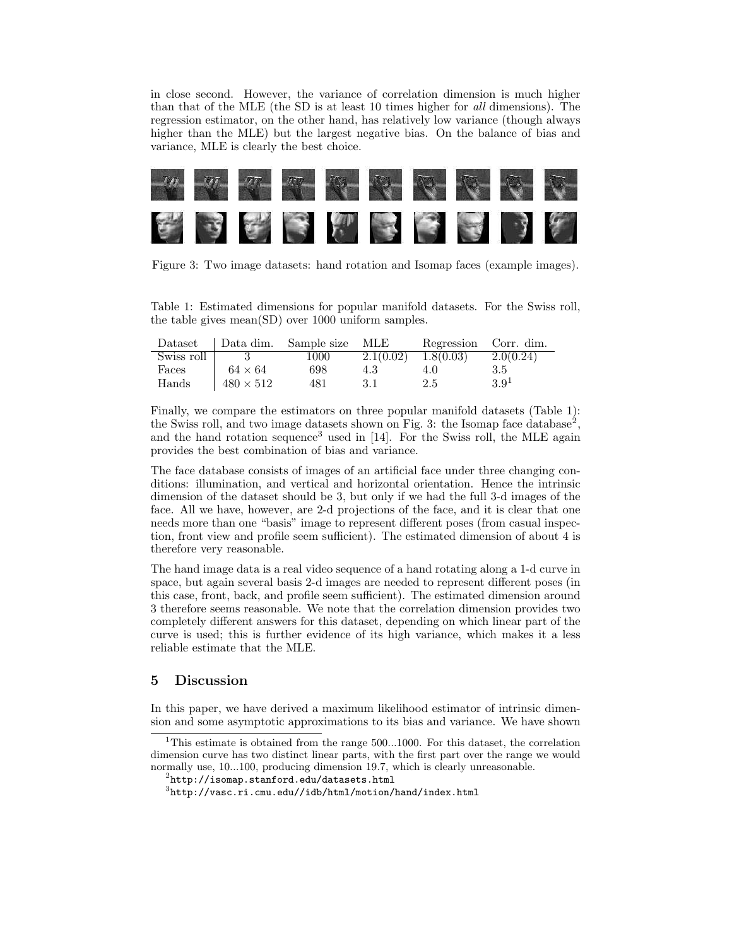in close second. However, the variance of correlation dimension is much higher than that of the MLE (the SD is at least 10 times higher for all dimensions). The regression estimator, on the other hand, has relatively low variance (though always higher than the MLE) but the largest negative bias. On the balance of bias and variance, MLE is clearly the best choice.



Figure 3: Two image datasets: hand rotation and Isomap faces (example images).

Table 1: Estimated dimensions for popular manifold datasets. For the Swiss roll, the table gives mean(SD) over 1000 uniform samples.

|            |                  | Dataset Data dim. Sample size MLE |                         | Regression Corr. dim. |                  |
|------------|------------------|-----------------------------------|-------------------------|-----------------------|------------------|
| Swiss roll |                  | 1000                              | $2.1(0.02)$ $1.8(0.03)$ |                       | 2.0(0.24)        |
| Faces      | $64 \times 64$   | 698                               | 4.3                     | 4.0                   | 3.5              |
| Hands      | $480 \times 512$ | 481                               | -3.1                    | 2.5                   | 3.9 <sup>1</sup> |

Finally, we compare the estimators on three popular manifold datasets (Table 1): the Swiss roll, and two image datasets shown on Fig. 3: the Isomap face database<sup>2</sup>, and the hand rotation sequence<sup>3</sup> used in  $[14]$ . For the Swiss roll, the MLE again provides the best combination of bias and variance.

The face database consists of images of an artificial face under three changing conditions: illumination, and vertical and horizontal orientation. Hence the intrinsic dimension of the dataset should be 3, but only if we had the full 3-d images of the face. All we have, however, are 2-d projections of the face, and it is clear that one needs more than one "basis" image to represent different poses (from casual inspection, front view and profile seem sufficient). The estimated dimension of about 4 is therefore very reasonable.

The hand image data is a real video sequence of a hand rotating along a 1-d curve in space, but again several basis 2-d images are needed to represent different poses (in this case, front, back, and profile seem sufficient). The estimated dimension around 3 therefore seems reasonable. We note that the correlation dimension provides two completely different answers for this dataset, depending on which linear part of the curve is used; this is further evidence of its high variance, which makes it a less reliable estimate that the MLE.

#### 5 Discussion

In this paper, we have derived a maximum likelihood estimator of intrinsic dimension and some asymptotic approximations to its bias and variance. We have shown

<sup>&</sup>lt;sup>1</sup>This estimate is obtained from the range  $500...1000$ . For this dataset, the correlation dimension curve has two distinct linear parts, with the first part over the range we would normally use, 10...100, producing dimension 19.7, which is clearly unreasonable.

 $^{2}$ http://isomap.stanford.edu/datasets.html

 ${}^{3}$ http://vasc.ri.cmu.edu//idb/html/motion/hand/index.html